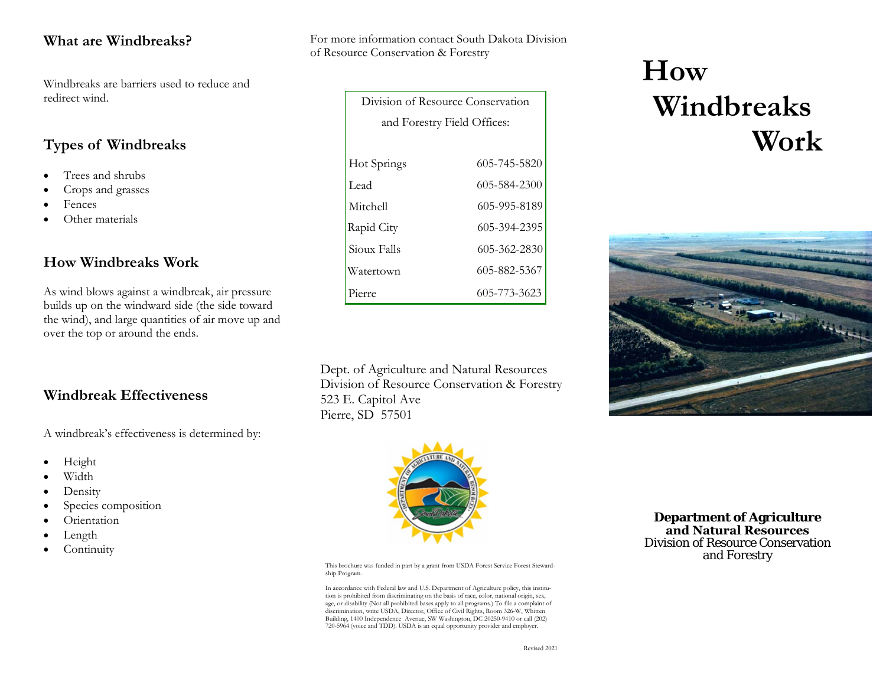#### **What are Windbreaks?**

Windbreaks are barriers used to reduce and redirect wind.

## **Types of Windbreaks**

- •Trees and shrubs
- •Crops and grasses
- •Fences
- •Other materials

#### **How Windbreaks Work**

As wind blows against a windbreak, air pressure builds up on the windward side (the side toward the wind), and large quantities of air move up and over the top or around the ends.

#### **Windbreak Effectiveness**

A windbreak's effectiveness is determined by:

- •Height
- •Width
- •Density
- •Species composition
- •• Orientation
- •Length
- •**Continuity**

For more information contact South Dakota Division of Resource Conservation & Forestry

| Division of Resource Conservation |              |  |  |
|-----------------------------------|--------------|--|--|
| and Forestry Field Offices:       |              |  |  |
|                                   |              |  |  |
| Hot Springs                       | 605-745-5820 |  |  |
| Lead                              | 605-584-2300 |  |  |
| Mitchell                          | 605-995-8189 |  |  |
| Rapid City                        | 605-394-2395 |  |  |
| Sioux Falls                       | 605-362-2830 |  |  |
| Watertown                         | 605-882-5367 |  |  |
| Pierre                            | 605-773-3623 |  |  |

Dept. of Agriculture and Natural Resources Division of Resource Conservation & Forestry523 E. Capitol AvePierre, SD 57501



This brochure was funded in part by a grant from USDA Forest Service Forest Stewardship Program.

In accordance with Federal law and U.S. Department of Agriculture policy, this institution is prohibited from discriminating on the basis of race, color, national origin, sex, age, or disability (Not all prohibited bases apply to all programs.) To file a complaint of discrimination, write USDA, Director, Office of Civil Rights, Room 326-W, Whitten Building, 1400 Independence Avenue, SW Washington, DC 20250-9410 or call (202) 720-5964 (voice and TDD). USDA is an equal opportunity provider and employer.

# **How Windbreaks Work**



**Department of Agriculture and Natural Resources** Division of Resource Conservation and Forestry